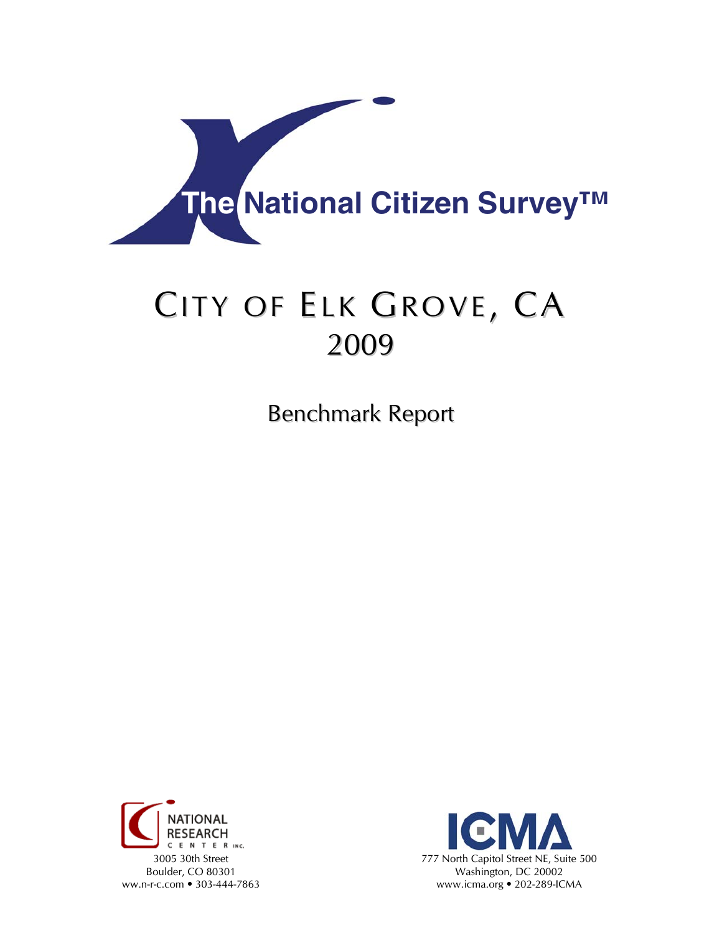

# CITY OF ELK GROVE, CA 2009

Benchmark Report



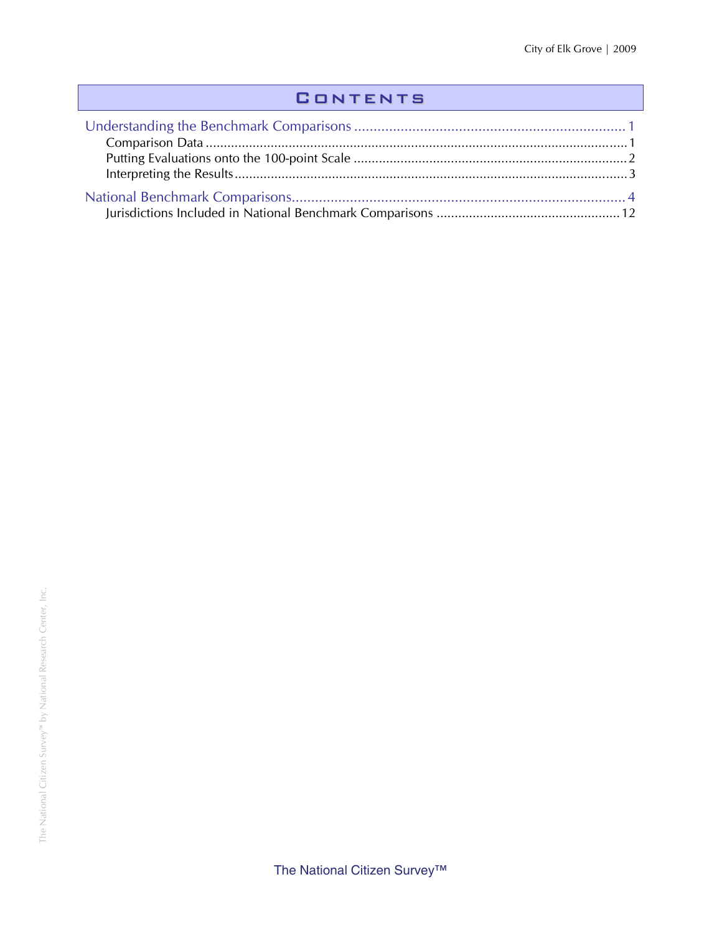## **CONTENTS**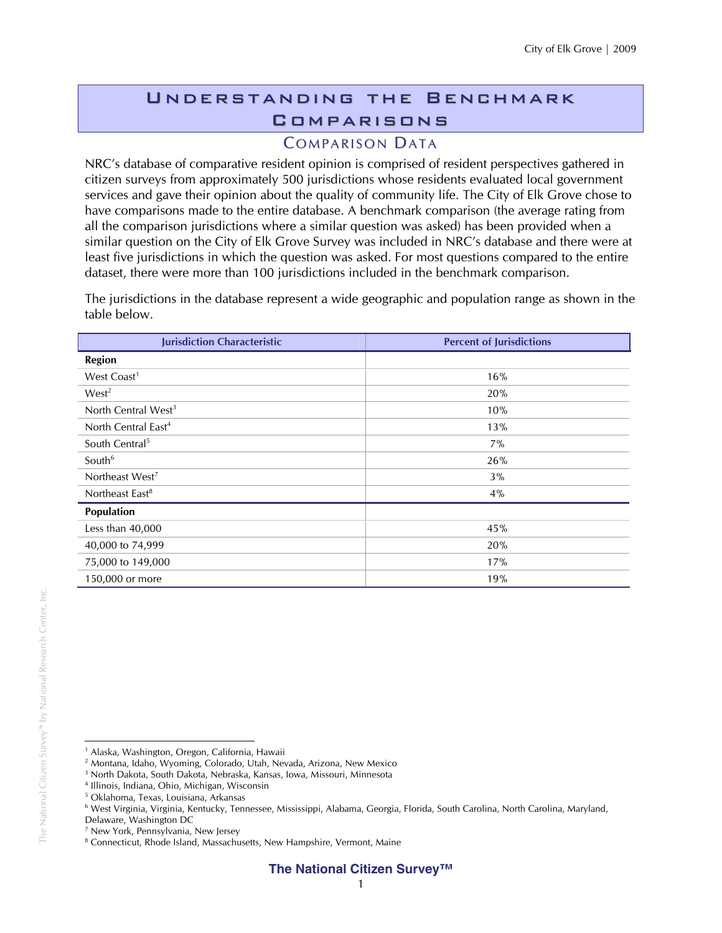## Understanding the Benchmark **COMPARISONS**

### **COMPARISON DATA**

NRC's database of comparative resident opinion is comprised of resident perspectives gathered in citizen surveys from approximately 500 jurisdictions whose residents evaluated local government services and gave their opinion about the quality of community life. The City of Elk Grove chose to have comparisons made to the entire database. A benchmark comparison (the average rating from all the comparison jurisdictions where a similar question was asked) has been provided when a similar question on the City of Elk Grove Survey was included in NRC's database and there were at least five jurisdictions in which the question was asked. For most questions compared to the entire dataset, there were more than 100 jurisdictions included in the benchmark comparison.

The jurisdictions in the database represent a wide geographic and population range as shown in the table below.

| <b>Jurisdiction Characteristic</b> | <b>Percent of Jurisdictions</b> |
|------------------------------------|---------------------------------|
| <b>Region</b>                      |                                 |
| West Coast <sup>1</sup>            | 16%                             |
| West <sup>2</sup>                  | 20%                             |
| North Central West <sup>3</sup>    | 10%                             |
| North Central East <sup>4</sup>    | 13%                             |
| South Central <sup>5</sup>         | 7%                              |
| South <sup>6</sup>                 | 26%                             |
| Northeast West <sup>7</sup>        | 3%                              |
| Northeast East <sup>8</sup>        | 4%                              |
| Population                         |                                 |
| Less than $40,000$                 | 45%                             |
| 40,000 to 74,999                   | 20%                             |
| 75,000 to 149,000                  | 17%                             |
| 150,000 or more                    | 19%                             |

 $\overline{a}$ <sup>1</sup> Alaska, Washington, Oregon, California, Hawaii

<sup>2</sup> Montana, Idaho, Wyoming, Colorado, Utah, Nevada, Arizona, New Mexico

<sup>3</sup> North Dakota, South Dakota, Nebraska, Kansas, Iowa, Missouri, Minnesota

<sup>4</sup> Illinois, Indiana, Ohio, Michigan, Wisconsin

<sup>5</sup> Oklahoma, Texas, Louisiana, Arkansas

<sup>6</sup> West Virginia, Virginia, Kentucky, Tennessee, Mississippi, Alabama, Georgia, Florida, South Carolina, North Carolina, Maryland,

Delaware, Washington DC

<sup>7</sup> New York, Pennsylvania, New Jersey

<sup>&</sup>lt;sup>8</sup> Connecticut, Rhode Island, Massachusetts, New Hampshire, Vermont, Maine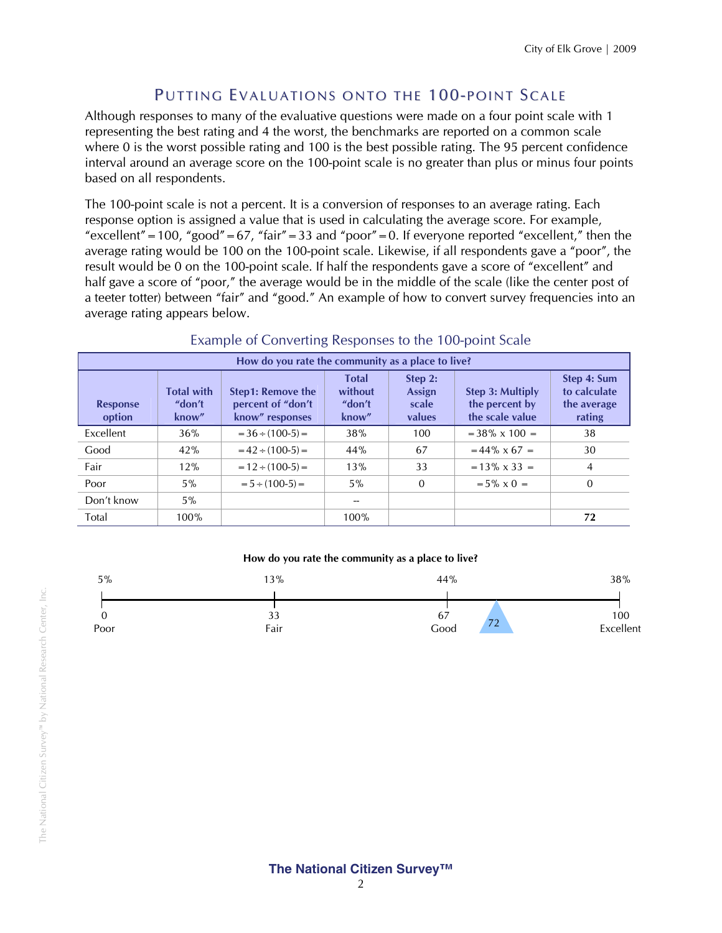#### PUTTING EVALUATIONS ONTO THE 100-POINT SCALE

Although responses to many of the evaluative questions were made on a four point scale with 1 representing the best rating and 4 the worst, the benchmarks are reported on a common scale where 0 is the worst possible rating and 100 is the best possible rating. The 95 percent confidence interval around an average score on the 100-point scale is no greater than plus or minus four points based on all respondents.

The 100-point scale is not a percent. It is a conversion of responses to an average rating. Each response option is assigned a value that is used in calculating the average score. For example, "excellent" = 100, "good" = 67, "fair" = 33 and "poor" = 0. If everyone reported "excellent," then the average rating would be 100 on the 100-point scale. Likewise, if all respondents gave a "poor", the result would be 0 on the 100-point scale. If half the respondents gave a score of "excellent" and half gave a score of "poor," the average would be in the middle of the scale (like the center post of a teeter totter) between "fair" and "good." An example of how to convert survey frequencies into an average rating appears below.

| How do you rate the community as a place to live? |                                      |                                                                  |                                            |                                      |                                                       |                                                      |  |  |  |
|---------------------------------------------------|--------------------------------------|------------------------------------------------------------------|--------------------------------------------|--------------------------------------|-------------------------------------------------------|------------------------------------------------------|--|--|--|
| <b>Response</b><br>option                         | <b>Total with</b><br>"don't<br>know" | <b>Step1: Remove the</b><br>percent of "don't<br>know" responses | <b>Total</b><br>without<br>"don't<br>know" | Step 2:<br>Assign<br>scale<br>values | Step 3: Multiply<br>the percent by<br>the scale value | Step 4: Sum<br>to calculate<br>the average<br>rating |  |  |  |
| Excellent                                         | 36%                                  | $=$ 36 $\div$ (100-5) $=$                                        | 38%                                        | 100                                  | $=$ 38% x 100 $=$                                     | 38                                                   |  |  |  |
| Good                                              | 42%                                  | $= 42 \div (100-5) =$                                            | 44%                                        | 67                                   | $= 44\% \times 67 =$                                  | 30                                                   |  |  |  |
| Fair                                              | 12%                                  | $= 12 \div (100-5) =$                                            | 13%                                        | 33                                   | $= 13\% \times 33 =$                                  | 4                                                    |  |  |  |
| Poor                                              | $5\%$                                | $= 5 \div (100-5) =$                                             | $5\%$                                      | $\mathbf{0}$                         | $= 5\% \times 0 =$                                    | $\Omega$                                             |  |  |  |
| Don't know                                        | $5\%$                                |                                                                  |                                            |                                      |                                                       |                                                      |  |  |  |
| Total                                             | 100%                                 |                                                                  | 100%                                       |                                      |                                                       | 72                                                   |  |  |  |

#### Example of Converting Responses to the 100-point Scale

#### **How do you rate the community as a place to live?**

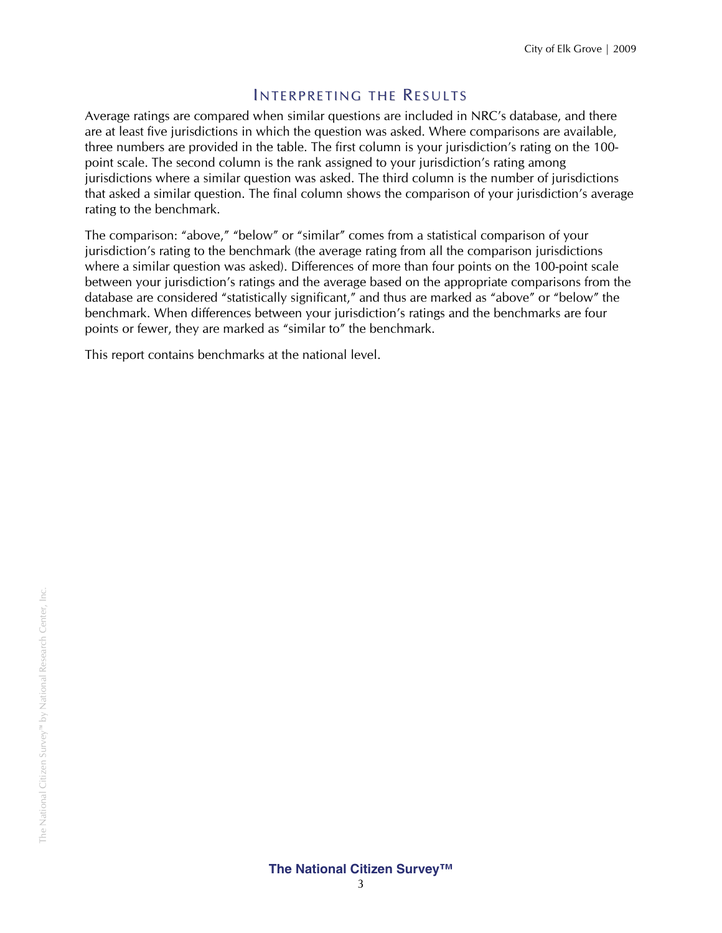#### INTERPRETING THE RESULTS

Average ratings are compared when similar questions are included in NRC's database, and there are at least five jurisdictions in which the question was asked. Where comparisons are available, three numbers are provided in the table. The first column is your jurisdiction's rating on the 100 point scale. The second column is the rank assigned to your jurisdiction's rating among jurisdictions where a similar question was asked. The third column is the number of jurisdictions that asked a similar question. The final column shows the comparison of your jurisdiction's average rating to the benchmark.

The comparison: "above," "below" or "similar" comes from a statistical comparison of your jurisdiction's rating to the benchmark (the average rating from all the comparison jurisdictions where a similar question was asked). Differences of more than four points on the 100-point scale between your jurisdiction's ratings and the average based on the appropriate comparisons from the database are considered "statistically significant," and thus are marked as "above" or "below" the benchmark. When differences between your jurisdiction's ratings and the benchmarks are four points or fewer, they are marked as "similar to" the benchmark.

This report contains benchmarks at the national level.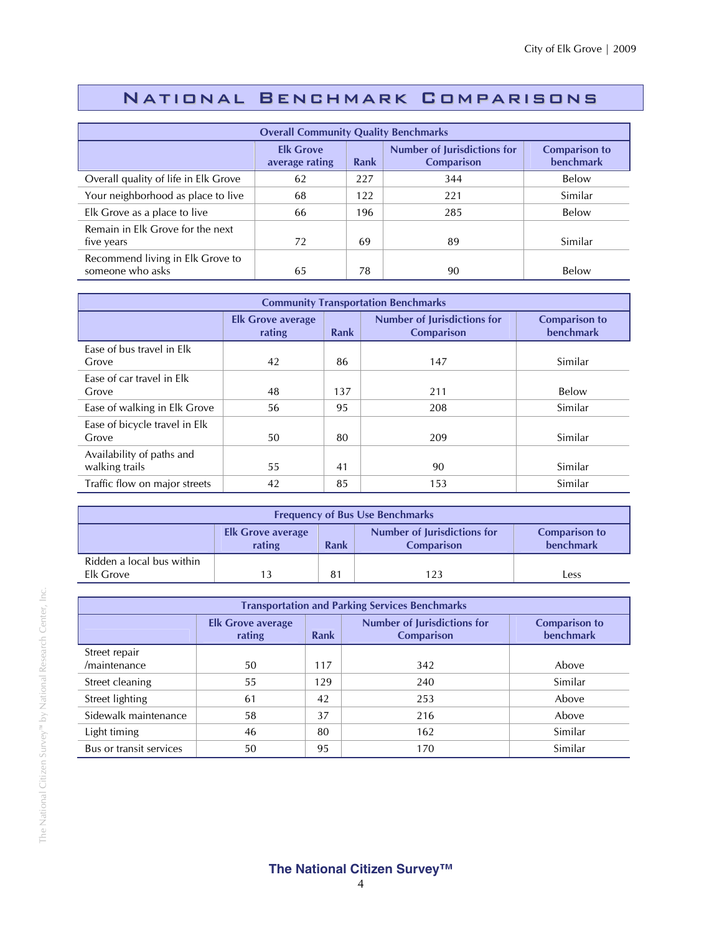## National Benchmark Comparisons

| <b>Overall Community Quality Benchmarks</b>          |                                    |      |                                                         |                                          |  |  |  |
|------------------------------------------------------|------------------------------------|------|---------------------------------------------------------|------------------------------------------|--|--|--|
|                                                      | <b>Elk Grove</b><br>average rating | Rank | <b>Number of Jurisdictions for</b><br><b>Comparison</b> | <b>Comparison to</b><br><b>benchmark</b> |  |  |  |
| Overall quality of life in Elk Grove                 | 62                                 | 227  | 344                                                     | Below                                    |  |  |  |
| Your neighborhood as place to live                   | 68                                 | 122  | 221                                                     | Similar                                  |  |  |  |
| Elk Grove as a place to live                         | 66                                 | 196  | 285                                                     | Below                                    |  |  |  |
| Remain in Elk Grove for the next<br>five years       | 72                                 | 69   | 89                                                      | Similar                                  |  |  |  |
| Recommend living in Elk Grove to<br>someone who asks | 65                                 | 78   | 90                                                      | Below                                    |  |  |  |

| <b>Community Transportation Benchmarks</b>  |                                    |      |                                                         |                                   |  |  |  |
|---------------------------------------------|------------------------------------|------|---------------------------------------------------------|-----------------------------------|--|--|--|
|                                             | <b>Elk Grove average</b><br>rating | Rank | <b>Number of Jurisdictions for</b><br><b>Comparison</b> | <b>Comparison to</b><br>benchmark |  |  |  |
| Ease of bus travel in Elk<br>Grove          | 42                                 | 86   | 147                                                     | Similar                           |  |  |  |
| Ease of car travel in Elk<br>Grove          | 48                                 | 137  | 211                                                     | <b>Below</b>                      |  |  |  |
| Ease of walking in Elk Grove                | 56                                 | 95   | 208                                                     | Similar                           |  |  |  |
| Ease of bicycle travel in Elk<br>Grove      | 50                                 | 80   | 209                                                     | Similar                           |  |  |  |
| Availability of paths and<br>walking trails | 55                                 | 41   | 90                                                      | Similar                           |  |  |  |
| Traffic flow on major streets               | 42                                 | 85   | 153                                                     | Similar                           |  |  |  |

| <b>Frequency of Bus Use Benchmarks</b>                                                                                                     |  |  |  |  |  |  |
|--------------------------------------------------------------------------------------------------------------------------------------------|--|--|--|--|--|--|
| <b>Number of Jurisdictions for</b><br><b>Comparison to</b><br><b>Elk Grove average</b><br>benchmark<br>rating<br>Rank<br><b>Comparison</b> |  |  |  |  |  |  |
| Ridden a local bus within<br>Elk Grove<br>81<br>123<br>Less                                                                                |  |  |  |  |  |  |

| <b>Transportation and Parking Services Benchmarks</b> |                                    |             |                                                         |                                   |  |  |  |
|-------------------------------------------------------|------------------------------------|-------------|---------------------------------------------------------|-----------------------------------|--|--|--|
|                                                       | <b>Elk Grove average</b><br>rating | <b>Rank</b> | <b>Number of Jurisdictions for</b><br><b>Comparison</b> | <b>Comparison to</b><br>benchmark |  |  |  |
| Street repair                                         |                                    |             |                                                         |                                   |  |  |  |
| /maintenance                                          | 50                                 | 117         | 342                                                     | Above                             |  |  |  |
| Street cleaning                                       | 55                                 | 129         | 240                                                     | Similar                           |  |  |  |
| Street lighting                                       | 61                                 | 42          | 253                                                     | Above                             |  |  |  |
| Sidewalk maintenance                                  | 58                                 | 37          | 216                                                     | Above                             |  |  |  |
| Light timing                                          | 46                                 | 80          | 162                                                     | Similar                           |  |  |  |
| Bus or transit services                               | 50                                 | 95          | 170                                                     | Similar                           |  |  |  |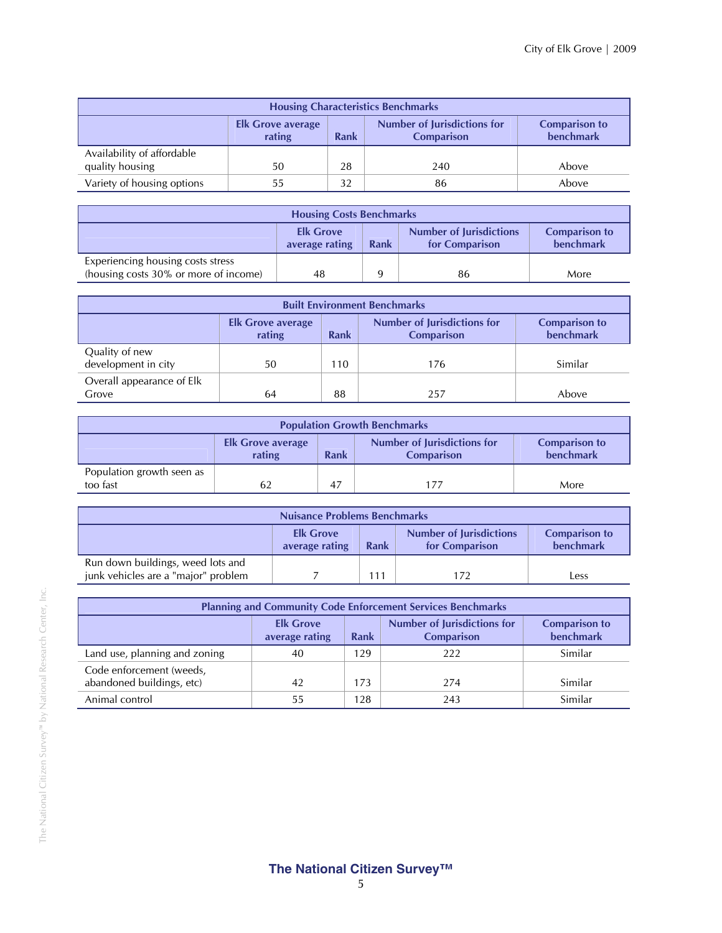| <b>Housing Characteristics Benchmarks</b>                                                                                                         |    |    |     |       |  |  |  |
|---------------------------------------------------------------------------------------------------------------------------------------------------|----|----|-----|-------|--|--|--|
| <b>Number of Jurisdictions for</b><br><b>Comparison to</b><br><b>Elk Grove average</b><br><b>benchmark</b><br>rating<br><b>Comparison</b><br>Rank |    |    |     |       |  |  |  |
| Availability of affordable<br>quality housing                                                                                                     | 50 | 28 | 240 | Above |  |  |  |
| Variety of housing options<br>Above<br>32<br>86                                                                                                   |    |    |     |       |  |  |  |

| <b>Housing Costs Benchmarks</b>                                                                                                     |    |  |    |      |  |
|-------------------------------------------------------------------------------------------------------------------------------------|----|--|----|------|--|
| <b>Number of Jurisdictions</b><br><b>Elk Grove</b><br><b>Comparison to</b><br>benchmark<br>average rating<br>Rank<br>for Comparison |    |  |    |      |  |
| Experiencing housing costs stress<br>(housing costs 30% or more of income)                                                          | 48 |  | 86 | More |  |

| <b>Built Environment Benchmarks</b>                                                                                                        |    |     |     |         |  |  |  |
|--------------------------------------------------------------------------------------------------------------------------------------------|----|-----|-----|---------|--|--|--|
| <b>Number of Jurisdictions for</b><br><b>Comparison to</b><br><b>Elk Grove average</b><br>benchmark<br>rating<br><b>Comparison</b><br>Rank |    |     |     |         |  |  |  |
| Quality of new<br>development in city                                                                                                      | 50 | 110 | 176 | Similar |  |  |  |
| Overall appearance of Elk<br>88<br>Grove<br>257<br>64<br>Above                                                                             |    |     |     |         |  |  |  |

| <b>Population Growth Benchmarks</b>                                                                                                        |    |    |     |      |  |  |  |
|--------------------------------------------------------------------------------------------------------------------------------------------|----|----|-----|------|--|--|--|
| <b>Number of Jurisdictions for</b><br><b>Comparison to</b><br><b>Elk Grove average</b><br>benchmark<br>rating<br>Rank<br><b>Comparison</b> |    |    |     |      |  |  |  |
| Population growth seen as<br>too fast                                                                                                      | 62 | 47 | 177 | More |  |  |  |

| <b>Nuisance Problems Benchmarks</b>                                                                                                 |  |     |     |      |  |
|-------------------------------------------------------------------------------------------------------------------------------------|--|-----|-----|------|--|
| <b>Number of Jurisdictions</b><br><b>Comparison to</b><br><b>Elk Grove</b><br>benchmark<br>for Comparison<br>average rating<br>Rank |  |     |     |      |  |
| Run down buildings, weed lots and<br>junk vehicles are a "major" problem                                                            |  | 111 | 172 | Less |  |

| <b>Planning and Community Code Enforcement Services Benchmarks</b>                                                                         |    |     |     |         |  |  |
|--------------------------------------------------------------------------------------------------------------------------------------------|----|-----|-----|---------|--|--|
| <b>Number of Jurisdictions for</b><br><b>Elk Grove</b><br><b>Comparison to</b><br>benchmark<br><b>Comparison</b><br>Rank<br>average rating |    |     |     |         |  |  |
| Land use, planning and zoning                                                                                                              | 40 | 129 | 222 | Similar |  |  |
| Code enforcement (weeds,<br>abandoned buildings, etc)                                                                                      | 42 | 173 | 274 | Similar |  |  |
| Animal control                                                                                                                             | 55 | 128 | 243 | Similar |  |  |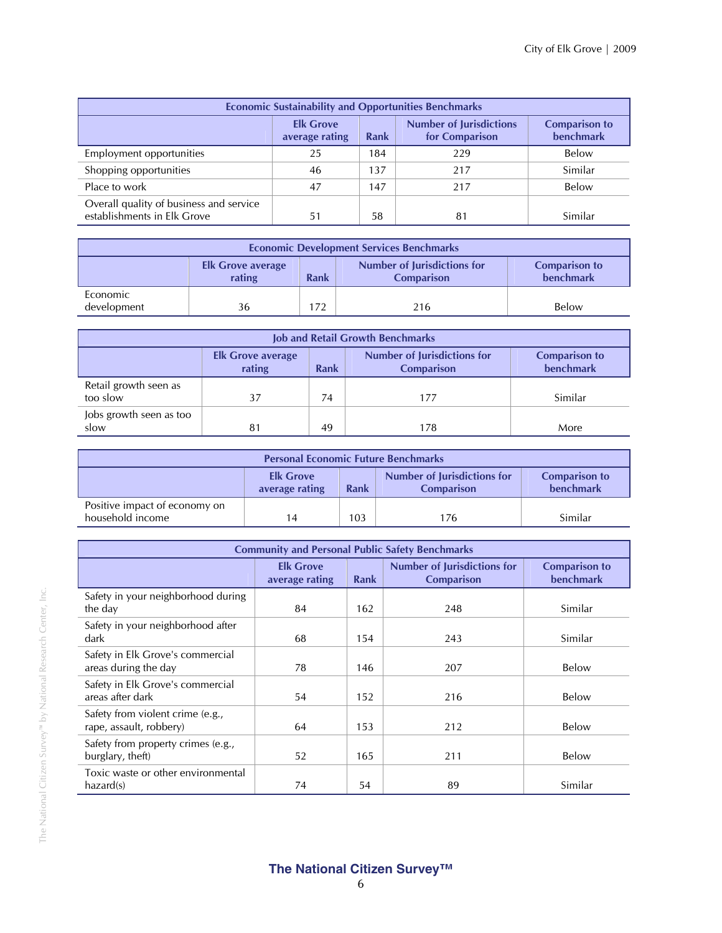| <b>Economic Sustainability and Opportunities Benchmarks</b>                                                                         |    |     |     |              |  |  |
|-------------------------------------------------------------------------------------------------------------------------------------|----|-----|-----|--------------|--|--|
| <b>Number of Jurisdictions</b><br><b>Elk Grove</b><br><b>Comparison to</b><br>benchmark<br>for Comparison<br>average rating<br>Rank |    |     |     |              |  |  |
| Employment opportunities                                                                                                            | 25 | 184 | 229 | Below        |  |  |
| Shopping opportunities                                                                                                              | 46 | 137 | 217 | Similar      |  |  |
| Place to work                                                                                                                       | 47 | 147 | 217 | <b>Below</b> |  |  |
| Overall quality of business and service<br>establishments in Elk Grove                                                              | 51 | 58  | 81  | Similar      |  |  |

| <b>Economic Development Services Benchmarks</b>                                                                                                   |    |     |     |       |  |  |  |
|---------------------------------------------------------------------------------------------------------------------------------------------------|----|-----|-----|-------|--|--|--|
| <b>Number of Jurisdictions for</b><br><b>Comparison to</b><br><b>Elk Grove average</b><br><b>benchmark</b><br>rating<br>Rank<br><b>Comparison</b> |    |     |     |       |  |  |  |
| Economic<br>development                                                                                                                           | 36 | 172 | 216 | Below |  |  |  |

| <b>Job and Retail Growth Benchmarks</b> |                                                                                                                                                   |    |     |         |  |  |  |
|-----------------------------------------|---------------------------------------------------------------------------------------------------------------------------------------------------|----|-----|---------|--|--|--|
|                                         | <b>Number of Jurisdictions for</b><br><b>Comparison to</b><br><b>Elk Grove average</b><br>benchmark<br><b>Rank</b><br>rating<br><b>Comparison</b> |    |     |         |  |  |  |
| Retail growth seen as<br>too slow       | 37                                                                                                                                                | 74 | 177 | Similar |  |  |  |
| Jobs growth seen as too<br>slow         | 81                                                                                                                                                | 49 | 178 | More    |  |  |  |

| <b>Personal Economic Future Benchmarks</b>        |                                                                                                                                            |     |     |         |  |  |  |
|---------------------------------------------------|--------------------------------------------------------------------------------------------------------------------------------------------|-----|-----|---------|--|--|--|
|                                                   | <b>Number of Jurisdictions for</b><br><b>Comparison to</b><br><b>Elk Grove</b><br>benchmark<br>Rank<br><b>Comparison</b><br>average rating |     |     |         |  |  |  |
| Positive impact of economy on<br>household income | 14                                                                                                                                         | 103 | 176 | Similar |  |  |  |

| <b>Community and Personal Public Safety Benchmarks</b>      |                                    |      |                                                         |                                          |  |
|-------------------------------------------------------------|------------------------------------|------|---------------------------------------------------------|------------------------------------------|--|
|                                                             | <b>Elk Grove</b><br>average rating | Rank | <b>Number of Jurisdictions for</b><br><b>Comparison</b> | <b>Comparison to</b><br><b>benchmark</b> |  |
| Safety in your neighborhood during<br>the day               | 84                                 | 162  | 248                                                     | Similar                                  |  |
| Safety in your neighborhood after<br>dark                   | 68                                 | 154  | 243                                                     | Similar                                  |  |
| Safety in Elk Grove's commercial<br>areas during the day    | 78                                 | 146  | 207                                                     | Below                                    |  |
| Safety in Elk Grove's commercial<br>areas after dark        | 54                                 | 152  | 216                                                     | Below                                    |  |
| Safety from violent crime (e.g.,<br>rape, assault, robbery) | 64                                 | 153  | 212                                                     | Below                                    |  |
| Safety from property crimes (e.g.,<br>burglary, theft)      | 52                                 | 165  | 211                                                     | Below                                    |  |
| Toxic waste or other environmental<br>hazard(s)             | 74                                 | 54   | 89                                                      | Similar                                  |  |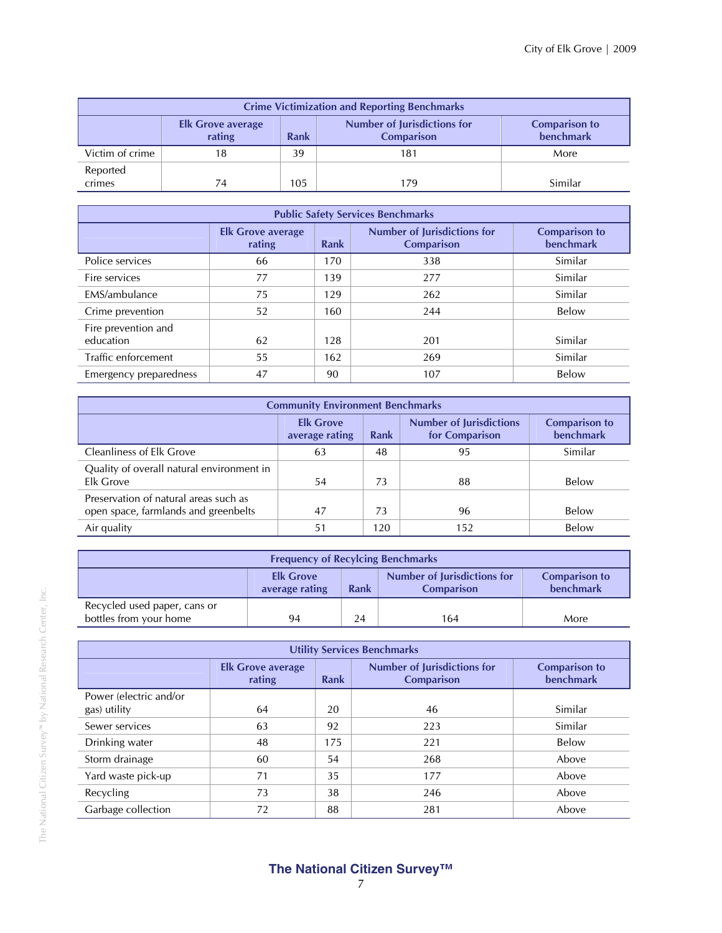| <b>Crime Victimization and Reporting Benchmarks</b>                                                                                                      |    |     |     |         |  |  |  |  |
|----------------------------------------------------------------------------------------------------------------------------------------------------------|----|-----|-----|---------|--|--|--|--|
| <b>Number of Jurisdictions for</b><br><b>Comparison to</b><br><b>Elk Grove average</b><br><b>benchmark</b><br>rating<br><b>Rank</b><br><b>Comparison</b> |    |     |     |         |  |  |  |  |
| Victim of crime                                                                                                                                          | 18 | 39  | 181 | More    |  |  |  |  |
| Reported<br>crimes                                                                                                                                       | 74 | 105 | 179 | Similar |  |  |  |  |

| <b>Public Safety Services Benchmarks</b> |                                    |             |                                                         |                                          |  |  |  |
|------------------------------------------|------------------------------------|-------------|---------------------------------------------------------|------------------------------------------|--|--|--|
|                                          | <b>Elk Grove average</b><br>rating | <b>Rank</b> | <b>Number of Jurisdictions for</b><br><b>Comparison</b> | <b>Comparison to</b><br><b>benchmark</b> |  |  |  |
| Police services                          | 66                                 | 170         | 338                                                     | Similar                                  |  |  |  |
| Fire services                            | 77                                 | 139         | 277                                                     | Similar                                  |  |  |  |
| EMS/ambulance                            | 75                                 | 129         | 262                                                     | Similar                                  |  |  |  |
| Crime prevention                         | 52                                 | 160         | 244                                                     | Below                                    |  |  |  |
| Fire prevention and<br>education         | 62                                 | 128         | 201                                                     | Similar                                  |  |  |  |
| Traffic enforcement                      | 55                                 | 162         | 269                                                     | Similar                                  |  |  |  |
| Emergency preparedness                   | 47                                 | 90          | 107                                                     | Below                                    |  |  |  |

| <b>Community Environment Benchmarks</b>                                       |                                                                                                                                            |     |     |         |  |  |
|-------------------------------------------------------------------------------|--------------------------------------------------------------------------------------------------------------------------------------------|-----|-----|---------|--|--|
|                                                                               | <b>Elk Grove</b><br><b>Number of Jurisdictions</b><br><b>Comparison to</b><br><b>benchmark</b><br>for Comparison<br>Rank<br>average rating |     |     |         |  |  |
| <b>Cleanliness of Elk Grove</b>                                               | 63                                                                                                                                         | 48  | 95  | Similar |  |  |
| Quality of overall natural environment in<br>Elk Grove                        | 54                                                                                                                                         | 73  | 88  | Below   |  |  |
| Preservation of natural areas such as<br>open space, farmlands and greenbelts | 47                                                                                                                                         | 73  | 96  | Below   |  |  |
| Air quality                                                                   | 51                                                                                                                                         | 120 | 152 | Below   |  |  |

| <b>Frequency of Recylcing Benchmarks</b>                                                                                                   |    |    |     |      |  |  |
|--------------------------------------------------------------------------------------------------------------------------------------------|----|----|-----|------|--|--|
| Number of Jurisdictions for<br><b>Elk Grove</b><br><b>Comparison to</b><br><b>benchmark</b><br>Rank<br><b>Comparison</b><br>average rating |    |    |     |      |  |  |
| Recycled used paper, cans or<br>bottles from your home                                                                                     | 94 | 24 | 164 | More |  |  |

| <b>Utility Services Benchmarks</b>     |                                    |      |                                                         |                                          |  |  |
|----------------------------------------|------------------------------------|------|---------------------------------------------------------|------------------------------------------|--|--|
|                                        | <b>Elk Grove average</b><br>rating | Rank | <b>Number of Jurisdictions for</b><br><b>Comparison</b> | <b>Comparison to</b><br><b>benchmark</b> |  |  |
| Power (electric and/or<br>gas) utility | 64                                 | 20   | 46                                                      | Similar                                  |  |  |
| Sewer services                         | 63                                 | 92   | 223                                                     | Similar                                  |  |  |
| Drinking water                         | 48                                 | 175  | 221                                                     | Below                                    |  |  |
| Storm drainage                         | 60                                 | 54   | 268                                                     | Above                                    |  |  |
| Yard waste pick-up                     | 71                                 | 35   | 177                                                     | Above                                    |  |  |
| Recycling                              | 73                                 | 38   | 246                                                     | Above                                    |  |  |
| Garbage collection                     | 72                                 | 88   | 281                                                     | Above                                    |  |  |

The National Citizen Survey™ by National Research Center, Inc.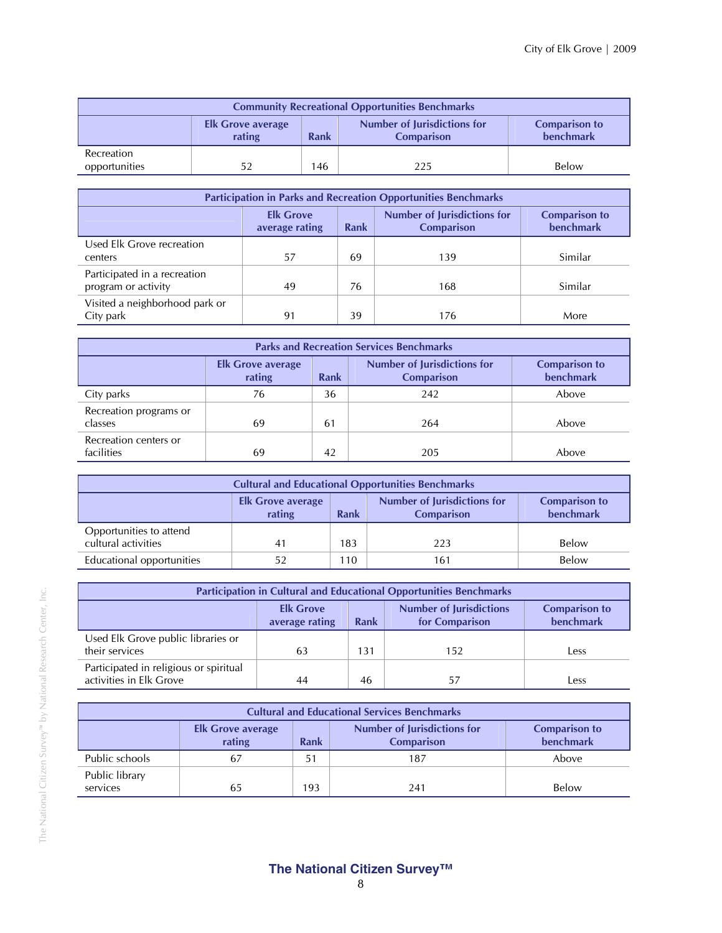| <b>Community Recreational Opportunities Benchmarks</b>                                                                                     |    |     |     |       |  |  |  |
|--------------------------------------------------------------------------------------------------------------------------------------------|----|-----|-----|-------|--|--|--|
| <b>Number of Jurisdictions for</b><br><b>Comparison to</b><br><b>Elk Grove average</b><br>benchmark<br>Rank<br>rating<br><b>Comparison</b> |    |     |     |       |  |  |  |
| Recreation<br>opportunities                                                                                                                | 52 | 146 | 225 | Below |  |  |  |

| <b>Participation in Parks and Recreation Opportunities Benchmarks</b>                                                                             |    |    |     |         |  |  |  |
|---------------------------------------------------------------------------------------------------------------------------------------------------|----|----|-----|---------|--|--|--|
| <b>Number of Jurisdictions for</b><br><b>Elk Grove</b><br><b>Comparison to</b><br><b>benchmark</b><br>Rank<br>average rating<br><b>Comparison</b> |    |    |     |         |  |  |  |
| Used Elk Grove recreation<br>centers                                                                                                              | 57 | 69 | 139 | Similar |  |  |  |
| Participated in a recreation<br>program or activity                                                                                               | 49 | 76 | 168 | Similar |  |  |  |
| Visited a neighborhood park or<br>City park                                                                                                       | 91 | 39 | 176 | More    |  |  |  |

| <b>Parks and Recreation Services Benchmarks</b> |                                    |                                   |     |       |  |  |  |
|-------------------------------------------------|------------------------------------|-----------------------------------|-----|-------|--|--|--|
|                                                 | <b>Elk Grove average</b><br>rating | <b>Comparison to</b><br>benchmark |     |       |  |  |  |
| City parks                                      | 76                                 | 36                                | 242 | Above |  |  |  |
| Recreation programs or<br>classes               | 69                                 | 61                                | 264 | Above |  |  |  |
| Recreation centers or<br>facilities             | 69                                 | 42                                | 205 | Above |  |  |  |

| <b>Cultural and Educational Opportunities Benchmarks</b>                                                                                          |    |     |     |       |  |  |
|---------------------------------------------------------------------------------------------------------------------------------------------------|----|-----|-----|-------|--|--|
| <b>Number of Jurisdictions for</b><br><b>Comparison to</b><br><b>Elk Grove average</b><br><b>benchmark</b><br>rating<br>Rank<br><b>Comparison</b> |    |     |     |       |  |  |
| Opportunities to attend<br>cultural activities                                                                                                    | 41 | 183 | 223 | Below |  |  |
| Educational opportunities                                                                                                                         | 52 | 110 | 161 | Below |  |  |

| <b>Participation in Cultural and Educational Opportunities Benchmarks</b>                                                                         |    |     |     |      |  |  |
|---------------------------------------------------------------------------------------------------------------------------------------------------|----|-----|-----|------|--|--|
| <b>Number of Jurisdictions</b><br><b>Elk Grove</b><br><b>Comparison to</b><br><b>benchmark</b><br>for Comparison<br><b>Rank</b><br>average rating |    |     |     |      |  |  |
| Used Elk Grove public libraries or<br>their services                                                                                              | 63 | 131 | 152 | Less |  |  |
| Participated in religious or spiritual<br>activities in Elk Grove                                                                                 | 44 | 46  | 57  | Less |  |  |

| <b>Cultural and Educational Services Benchmarks</b> |                                                                                                                                     |     |     |       |  |  |  |  |
|-----------------------------------------------------|-------------------------------------------------------------------------------------------------------------------------------------|-----|-----|-------|--|--|--|--|
|                                                     | Number of Jurisdictions for<br><b>Comparison to</b><br><b>Elk Grove average</b><br>benchmark<br>rating<br>Rank<br><b>Comparison</b> |     |     |       |  |  |  |  |
| Public schools                                      | 67                                                                                                                                  | 51  | 187 | Above |  |  |  |  |
| Public library<br>services                          | 65                                                                                                                                  | 193 | 241 | Below |  |  |  |  |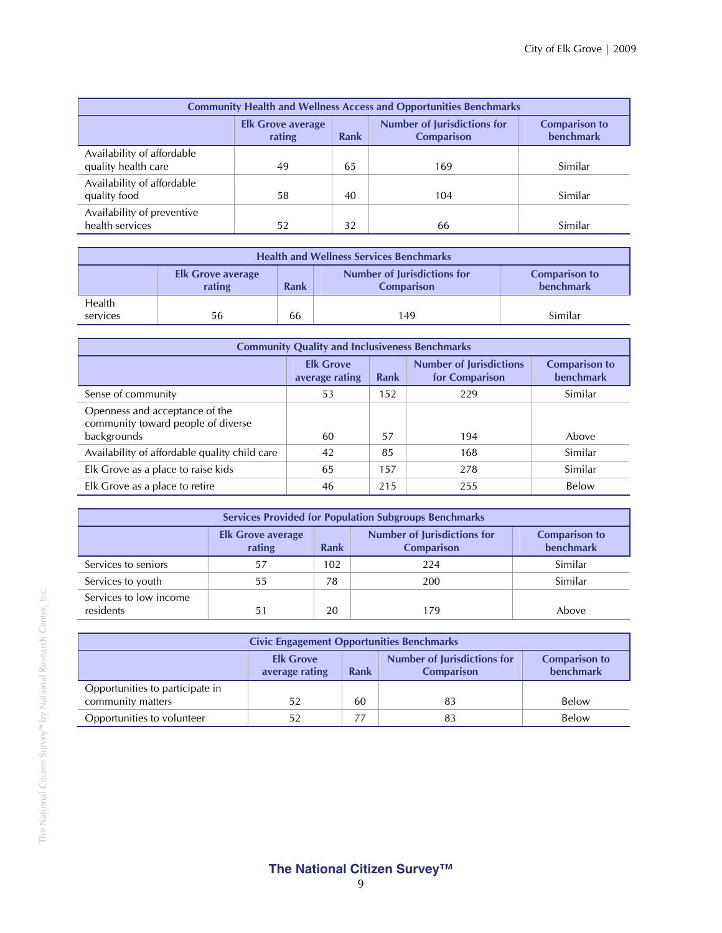| <b>Community Health and Wellness Access and Opportunities Benchmarks</b> |                                          |    |     |         |  |  |
|--------------------------------------------------------------------------|------------------------------------------|----|-----|---------|--|--|
|                                                                          | <b>Comparison to</b><br><b>benchmark</b> |    |     |         |  |  |
| Availability of affordable<br>quality health care                        | 49                                       | 65 | 169 | Similar |  |  |
| Availability of affordable<br>quality food                               | 58                                       | 40 | 104 | Similar |  |  |
| Availability of preventive<br>health services                            | 52                                       | 32 | 66  | Similar |  |  |

| <b>Health and Wellness Services Benchmarks</b>                                                                                                    |    |    |     |         |  |  |  |
|---------------------------------------------------------------------------------------------------------------------------------------------------|----|----|-----|---------|--|--|--|
| <b>Number of Jurisdictions for</b><br><b>Comparison to</b><br><b>Elk Grove average</b><br>benchmark<br>rating<br><b>Comparison</b><br><b>Rank</b> |    |    |     |         |  |  |  |
| Health<br>services                                                                                                                                | 56 | 66 | 149 | Similar |  |  |  |
|                                                                                                                                                   |    |    |     |         |  |  |  |

| <b>Community Quality and Inclusiveness Benchmarks</b>                               |                                    |             |                                                  |                                          |  |  |
|-------------------------------------------------------------------------------------|------------------------------------|-------------|--------------------------------------------------|------------------------------------------|--|--|
|                                                                                     | <b>Elk Grove</b><br>average rating | <b>Rank</b> | <b>Number of Jurisdictions</b><br>for Comparison | <b>Comparison to</b><br><b>benchmark</b> |  |  |
| Sense of community                                                                  | 53                                 | 152         | 229                                              | Similar                                  |  |  |
| Openness and acceptance of the<br>community toward people of diverse<br>backgrounds | 60                                 | 57          | 194                                              | Above                                    |  |  |
| Availability of affordable quality child care                                       | 42                                 | 85          | 168                                              | Similar                                  |  |  |
| Elk Grove as a place to raise kids                                                  | 65                                 | 157         | 278                                              | Similar                                  |  |  |
| Elk Grove as a place to retire                                                      | 46                                 | 215         | 255                                              | Below                                    |  |  |

| <b>Services Provided for Population Subgroups Benchmarks</b> |                                                                                                                                                   |     |     |         |  |  |  |  |
|--------------------------------------------------------------|---------------------------------------------------------------------------------------------------------------------------------------------------|-----|-----|---------|--|--|--|--|
|                                                              | <b>Number of Jurisdictions for</b><br><b>Comparison to</b><br><b>Elk Grove average</b><br><b>benchmark</b><br>rating<br>Rank<br><b>Comparison</b> |     |     |         |  |  |  |  |
| Services to seniors                                          | 57                                                                                                                                                | 102 | 224 | Similar |  |  |  |  |
| Services to youth                                            | 55                                                                                                                                                | 78  | 200 | Similar |  |  |  |  |
| Services to low income<br>residents                          | 51                                                                                                                                                | 20  | 179 | Above   |  |  |  |  |

| <b>Civic Engagement Opportunities Benchmarks</b>                                                                                                  |    |    |    |       |  |  |
|---------------------------------------------------------------------------------------------------------------------------------------------------|----|----|----|-------|--|--|
| <b>Number of Jurisdictions for</b><br><b>Elk Grove</b><br><b>Comparison to</b><br><b>benchmark</b><br>Rank<br>average rating<br><b>Comparison</b> |    |    |    |       |  |  |
| Opportunities to participate in<br>community matters                                                                                              | 52 | 60 | 83 | Below |  |  |
| Opportunities to volunteer                                                                                                                        | 52 |    | 83 | Below |  |  |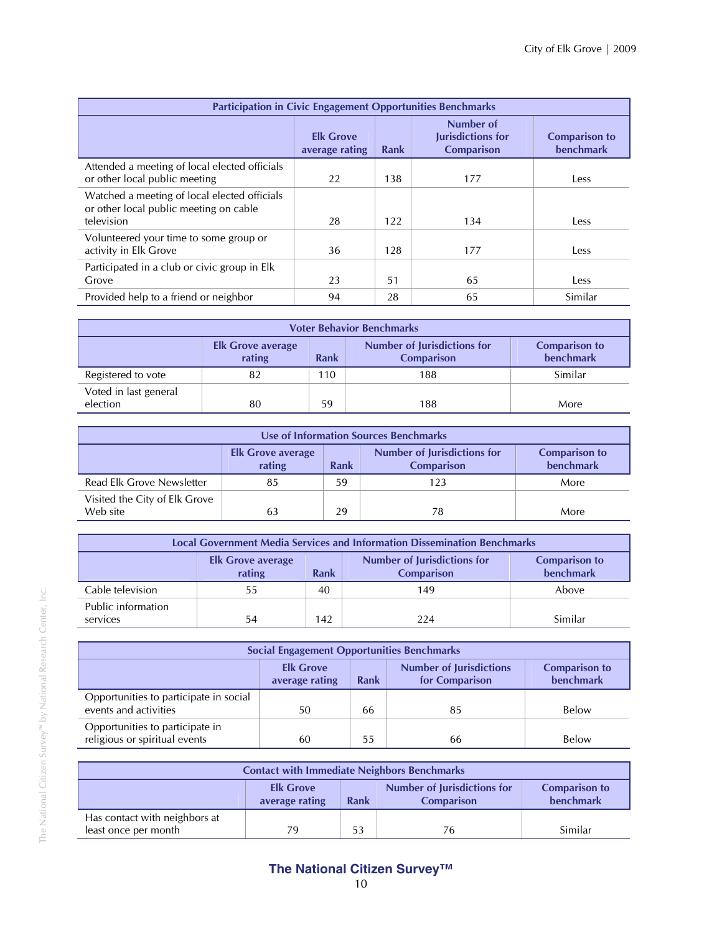| <b>Participation in Civic Engagement Opportunities Benchmarks</b>                                    |                                    |      |                                                            |                                          |  |
|------------------------------------------------------------------------------------------------------|------------------------------------|------|------------------------------------------------------------|------------------------------------------|--|
|                                                                                                      | <b>Elk Grove</b><br>average rating | Rank | Number of<br><b>Jurisdictions for</b><br><b>Comparison</b> | <b>Comparison to</b><br><b>benchmark</b> |  |
| Attended a meeting of local elected officials<br>or other local public meeting                       | 22                                 | 138  | 177                                                        | Less                                     |  |
| Watched a meeting of local elected officials<br>or other local public meeting on cable<br>television | 28                                 | 122  | 134                                                        | Less                                     |  |
| Volunteered your time to some group or<br>activity in Elk Grove                                      | 36                                 | 128  | 177                                                        | Less                                     |  |
| Participated in a club or civic group in Elk<br>Grove                                                | 23                                 | 51   | 65                                                         | Less                                     |  |
| Provided help to a friend or neighbor                                                                | 94                                 | 28   | 65                                                         | Similar                                  |  |

| <b>Voter Behavior Benchmarks</b>                                                                                                                  |    |     |     |         |  |  |  |
|---------------------------------------------------------------------------------------------------------------------------------------------------|----|-----|-----|---------|--|--|--|
| <b>Number of Jurisdictions for</b><br><b>Comparison to</b><br><b>Elk Grove average</b><br>benchmark<br>rating<br><b>Rank</b><br><b>Comparison</b> |    |     |     |         |  |  |  |
| Registered to vote                                                                                                                                | 82 | 110 | 188 | Similar |  |  |  |
| Voted in last general<br>election                                                                                                                 | 80 | 59  | 188 | More    |  |  |  |

| Use of Information Sources Benchmarks     |                                                                                                                                                   |    |     |      |  |  |
|-------------------------------------------|---------------------------------------------------------------------------------------------------------------------------------------------------|----|-----|------|--|--|
|                                           | <b>Number of Jurisdictions for</b><br><b>Comparison to</b><br><b>Elk Grove average</b><br>benchmark<br><b>Rank</b><br>rating<br><b>Comparison</b> |    |     |      |  |  |
| Read Elk Grove Newsletter                 | 85                                                                                                                                                | 59 | 123 | More |  |  |
| Visited the City of Elk Grove<br>Web site | 63                                                                                                                                                | 29 | 78  | More |  |  |

| <b>Local Government Media Services and Information Dissemination Benchmarks</b> |                                    |      |                                                  |                                          |  |
|---------------------------------------------------------------------------------|------------------------------------|------|--------------------------------------------------|------------------------------------------|--|
|                                                                                 | <b>Elk Grove average</b><br>rating | Rank | Number of Jurisdictions for<br><b>Comparison</b> | <b>Comparison to</b><br><b>benchmark</b> |  |
| Cable television                                                                | 55                                 | 40   | 149                                              | Above                                    |  |
| Public information<br>services                                                  | 54                                 | 142  | 224                                              | Similar                                  |  |

| <b>Social Engagement Opportunities Benchmarks</b>                |                                    |      |                                                  |                                          |
|------------------------------------------------------------------|------------------------------------|------|--------------------------------------------------|------------------------------------------|
|                                                                  | <b>Elk Grove</b><br>average rating | Rank | <b>Number of Jurisdictions</b><br>for Comparison | <b>Comparison to</b><br><b>benchmark</b> |
| Opportunities to participate in social<br>events and activities  | 50                                 | 66   | 85                                               | Below                                    |
| Opportunities to participate in<br>religious or spiritual events | 60                                 | 55   | 66                                               | Below                                    |

| <b>Contact with Immediate Neighbors Benchmarks</b>                                                                                         |    |    |    |         |
|--------------------------------------------------------------------------------------------------------------------------------------------|----|----|----|---------|
| <b>Number of Jurisdictions for</b><br><b>Elk Grove</b><br><b>Comparison to</b><br>benchmark<br>Rank<br>average rating<br><b>Comparison</b> |    |    |    |         |
| Has contact with neighbors at<br>least once per month                                                                                      | 79 | 53 | 76 | Similar |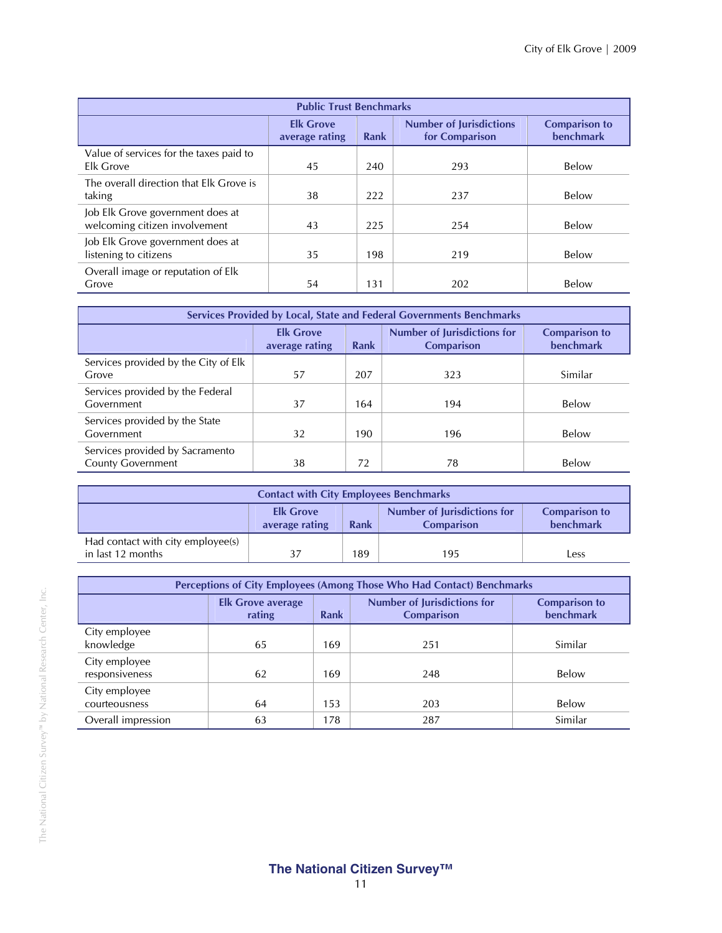| <b>Public Trust Benchmarks</b>                                    |                                    |      |                                                  |                                          |  |
|-------------------------------------------------------------------|------------------------------------|------|--------------------------------------------------|------------------------------------------|--|
|                                                                   | <b>Elk Grove</b><br>average rating | Rank | <b>Number of Jurisdictions</b><br>for Comparison | <b>Comparison to</b><br><b>benchmark</b> |  |
| Value of services for the taxes paid to<br>Elk Grove              | 45                                 | 240  | 293                                              | Below                                    |  |
| The overall direction that Elk Grove is<br>taking                 | 38                                 | 222  | 237                                              | Below                                    |  |
| Job Elk Grove government does at<br>welcoming citizen involvement | 43                                 | 225  | 254                                              | Below                                    |  |
| Job Elk Grove government does at<br>listening to citizens         | 35                                 | 198  | 219                                              | Below                                    |  |
| Overall image or reputation of Elk<br>Grove                       | 54                                 | 131  | 202                                              | Below                                    |  |

| Services Provided by Local, State and Federal Governments Benchmarks |                                    |      |                                                         |                                   |  |
|----------------------------------------------------------------------|------------------------------------|------|---------------------------------------------------------|-----------------------------------|--|
|                                                                      | <b>Elk Grove</b><br>average rating | Rank | <b>Number of Jurisdictions for</b><br><b>Comparison</b> | <b>Comparison to</b><br>benchmark |  |
| Services provided by the City of Elk<br>Grove                        | 57                                 | 207  | 323                                                     | Similar                           |  |
| Services provided by the Federal<br>Government                       | 37                                 | 164  | 194                                                     | Below                             |  |
| Services provided by the State<br>Government                         | 32                                 | 190  | 196                                                     | Below                             |  |
| Services provided by Sacramento<br><b>County Government</b>          | 38                                 | 72   | 78                                                      | Below                             |  |

| <b>Contact with City Employees Benchmarks</b>                                                                                       |  |     |     |      |  |
|-------------------------------------------------------------------------------------------------------------------------------------|--|-----|-----|------|--|
| Number of Jurisdictions for<br><b>Elk Grove</b><br><b>Comparison to</b><br>benchmark<br>Rank<br>average rating<br><b>Comparison</b> |  |     |     |      |  |
| Had contact with city employee(s)<br>in last 12 months                                                                              |  | 189 | 195 | Less |  |

| Perceptions of City Employees (Among Those Who Had Contact) Benchmarks |                                    |      |                                                         |                                   |  |
|------------------------------------------------------------------------|------------------------------------|------|---------------------------------------------------------|-----------------------------------|--|
|                                                                        | <b>Elk Grove average</b><br>rating | Rank | <b>Number of Jurisdictions for</b><br><b>Comparison</b> | <b>Comparison to</b><br>benchmark |  |
| City employee<br>knowledge                                             | 65                                 | 169  | 251                                                     | Similar                           |  |
| City employee<br>responsiveness                                        | 62                                 | 169  | 248                                                     | Below                             |  |
| City employee<br>courteousness                                         | 64                                 | 153  | 203                                                     | Below                             |  |
| Overall impression                                                     | 63                                 | 178  | 287                                                     | Similar                           |  |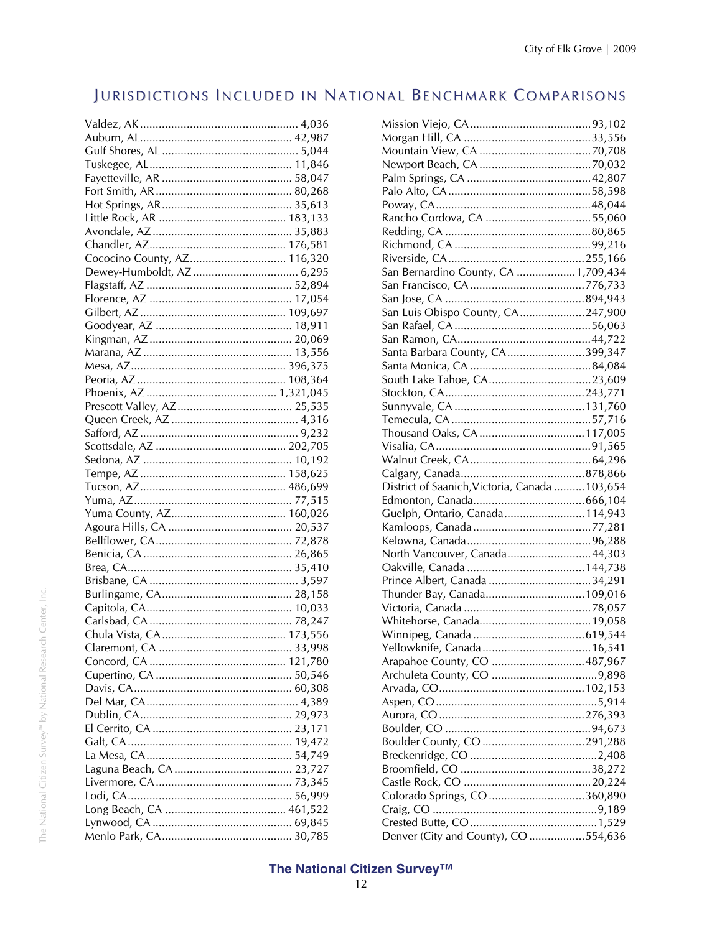## JURISDICTIONS INCLUDED IN NATIONAL BENCHMARK COMPARISONS

| Cococino County, AZ 116,320 |  |
|-----------------------------|--|
|                             |  |
|                             |  |
|                             |  |
|                             |  |
|                             |  |
|                             |  |
|                             |  |
|                             |  |
|                             |  |
|                             |  |
|                             |  |
|                             |  |
|                             |  |
|                             |  |
|                             |  |
|                             |  |
|                             |  |
|                             |  |
|                             |  |
|                             |  |
|                             |  |
|                             |  |
|                             |  |
|                             |  |
|                             |  |
|                             |  |
|                             |  |
|                             |  |
|                             |  |
|                             |  |
|                             |  |
|                             |  |
|                             |  |
|                             |  |
|                             |  |
|                             |  |
|                             |  |
|                             |  |
|                             |  |
|                             |  |
|                             |  |
|                             |  |
|                             |  |
|                             |  |

| San Bernardino County, CA 1,709,434            |  |
|------------------------------------------------|--|
|                                                |  |
|                                                |  |
|                                                |  |
| San Luis Obispo County, CA247,900              |  |
|                                                |  |
|                                                |  |
| Santa Barbara County, CA399,347                |  |
|                                                |  |
| South Lake Tahoe, CA23,609                     |  |
|                                                |  |
|                                                |  |
|                                                |  |
|                                                |  |
|                                                |  |
|                                                |  |
|                                                |  |
| District of Saanich, Victoria, Canada  103,654 |  |
|                                                |  |
| Guelph, Ontario, Canada114,943                 |  |
|                                                |  |
|                                                |  |
|                                                |  |
|                                                |  |
| North Vancouver, Canada44,303                  |  |
|                                                |  |
|                                                |  |
| Thunder Bay, Canada109,016                     |  |
|                                                |  |
|                                                |  |
|                                                |  |
|                                                |  |
| Arapahoe County, CO 487,967                    |  |
|                                                |  |
|                                                |  |
|                                                |  |
|                                                |  |
|                                                |  |
|                                                |  |
|                                                |  |
|                                                |  |
|                                                |  |
| Colorado Springs, CO 360,890                   |  |
|                                                |  |
| Denver (City and County), CO 554,636           |  |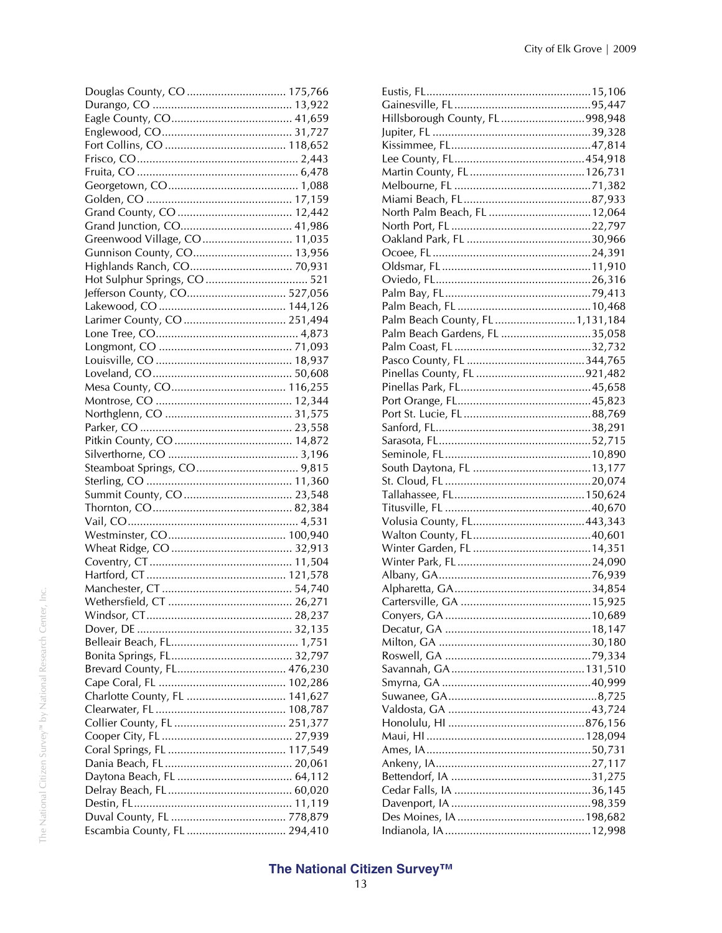| Douglas County, CO  175,766   |  |
|-------------------------------|--|
|                               |  |
|                               |  |
|                               |  |
|                               |  |
|                               |  |
|                               |  |
|                               |  |
|                               |  |
|                               |  |
|                               |  |
| Greenwood Village, CO 11,035  |  |
| Gunnison County, CO 13,956    |  |
| Highlands Ranch, CO 70,931    |  |
|                               |  |
| Jefferson County, CO 527,056  |  |
|                               |  |
| Larimer County, CO  251,494   |  |
|                               |  |
|                               |  |
|                               |  |
|                               |  |
|                               |  |
|                               |  |
|                               |  |
|                               |  |
|                               |  |
|                               |  |
|                               |  |
|                               |  |
|                               |  |
|                               |  |
|                               |  |
|                               |  |
|                               |  |
|                               |  |
|                               |  |
|                               |  |
|                               |  |
|                               |  |
|                               |  |
|                               |  |
|                               |  |
| Brevard County, FL 476,230    |  |
|                               |  |
| Charlotte County, FL  141,627 |  |
|                               |  |
|                               |  |
|                               |  |
|                               |  |
|                               |  |
|                               |  |
|                               |  |
|                               |  |
|                               |  |
| Escambia County, FL  294,410  |  |
|                               |  |

| Hillsborough County, FL 998,948 |  |
|---------------------------------|--|
|                                 |  |
|                                 |  |
|                                 |  |
|                                 |  |
|                                 |  |
|                                 |  |
| North Palm Beach, FL  12,064    |  |
|                                 |  |
|                                 |  |
|                                 |  |
|                                 |  |
|                                 |  |
|                                 |  |
|                                 |  |
| Palm Beach County, FL1,131,184  |  |
|                                 |  |
| Palm Beach Gardens, FL 35,058   |  |
|                                 |  |
|                                 |  |
|                                 |  |
|                                 |  |
|                                 |  |
|                                 |  |
|                                 |  |
|                                 |  |
|                                 |  |
|                                 |  |
|                                 |  |
|                                 |  |
|                                 |  |
|                                 |  |
|                                 |  |
|                                 |  |
|                                 |  |
|                                 |  |
|                                 |  |
|                                 |  |
|                                 |  |
|                                 |  |
|                                 |  |
|                                 |  |
|                                 |  |
|                                 |  |
|                                 |  |
|                                 |  |
|                                 |  |
|                                 |  |
|                                 |  |
|                                 |  |
|                                 |  |
|                                 |  |
|                                 |  |
|                                 |  |
|                                 |  |
|                                 |  |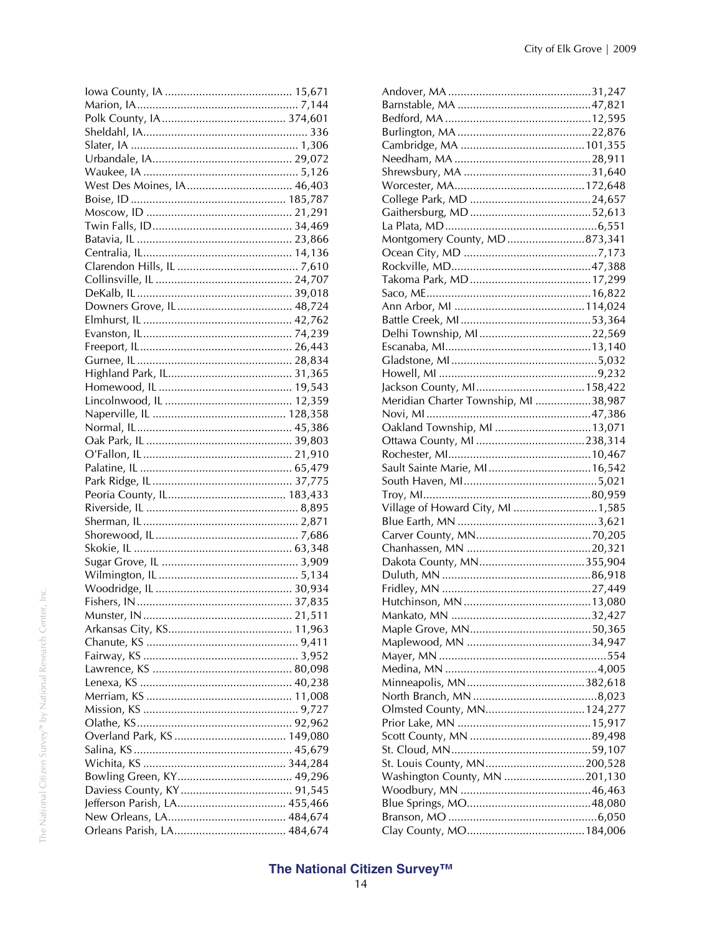| West Des Moines, IA 46,403 |
|----------------------------|
|                            |
|                            |
|                            |
|                            |
|                            |
|                            |
|                            |
|                            |
|                            |
|                            |
|                            |
|                            |
|                            |
|                            |
|                            |
|                            |
|                            |
|                            |
|                            |
|                            |
|                            |
|                            |
|                            |
|                            |
|                            |
|                            |
|                            |
|                            |
|                            |
|                            |
|                            |
|                            |
|                            |
|                            |
|                            |
|                            |
|                            |
|                            |
|                            |
|                            |
|                            |
|                            |
|                            |
|                            |
|                            |
|                            |
|                            |
|                            |
|                            |
|                            |

| Montgomery County, MD 873,341        |  |
|--------------------------------------|--|
|                                      |  |
|                                      |  |
|                                      |  |
|                                      |  |
|                                      |  |
|                                      |  |
|                                      |  |
|                                      |  |
|                                      |  |
|                                      |  |
|                                      |  |
|                                      |  |
| Meridian Charter Township, MI 38,987 |  |
|                                      |  |
| Oakland Township, MI  13,071         |  |
|                                      |  |
|                                      |  |
|                                      |  |
| Sault Sainte Marie, MI 16,542        |  |
|                                      |  |
|                                      |  |
| Village of Howard City, MI 1,585     |  |
|                                      |  |
|                                      |  |
|                                      |  |
|                                      |  |
|                                      |  |
|                                      |  |
|                                      |  |
|                                      |  |
|                                      |  |
|                                      |  |
|                                      |  |
|                                      |  |
|                                      |  |
|                                      |  |
|                                      |  |
| Olmsted County, MN 124,277           |  |
|                                      |  |
|                                      |  |
|                                      |  |
| St. Louis County, MN200,528          |  |
| Washington County, MN 201,130        |  |
|                                      |  |
|                                      |  |
|                                      |  |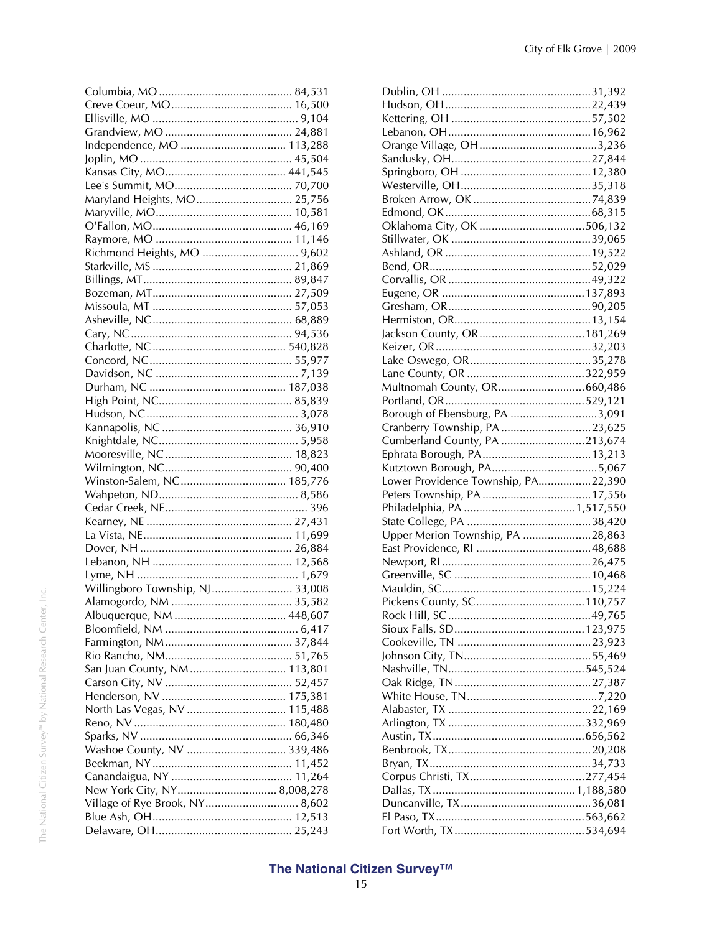| Maryland Heights, MO 25,756     |  |
|---------------------------------|--|
|                                 |  |
|                                 |  |
|                                 |  |
| Richmond Heights, MO  9,602     |  |
|                                 |  |
|                                 |  |
|                                 |  |
|                                 |  |
|                                 |  |
|                                 |  |
|                                 |  |
|                                 |  |
|                                 |  |
|                                 |  |
|                                 |  |
|                                 |  |
|                                 |  |
|                                 |  |
|                                 |  |
|                                 |  |
| Winston-Salem, NC 185,776       |  |
|                                 |  |
|                                 |  |
|                                 |  |
|                                 |  |
|                                 |  |
|                                 |  |
|                                 |  |
| Willingboro Township, NJ 33,008 |  |
|                                 |  |
|                                 |  |
|                                 |  |
|                                 |  |
|                                 |  |
| San Juan County, NM 113,801     |  |
|                                 |  |
|                                 |  |
| North Las Vegas, NV  115,488    |  |
|                                 |  |
|                                 |  |
| Washoe County, NV  339,486      |  |
|                                 |  |
|                                 |  |
|                                 |  |
| Village of Rye Brook, NY 8,602  |  |
|                                 |  |
|                                 |  |

| Multnomah County, OR660,486         |  |
|-------------------------------------|--|
|                                     |  |
| Borough of Ebensburg, PA 3,091      |  |
| Cranberry Township, PA23,625        |  |
| Cumberland County, PA 213,674       |  |
|                                     |  |
|                                     |  |
|                                     |  |
|                                     |  |
| Lower Providence Township, PA22,390 |  |
|                                     |  |
|                                     |  |
|                                     |  |
| Upper Merion Township, PA 28,863    |  |
|                                     |  |
|                                     |  |
|                                     |  |
|                                     |  |
|                                     |  |
|                                     |  |
|                                     |  |
|                                     |  |
|                                     |  |
|                                     |  |
|                                     |  |
|                                     |  |
|                                     |  |
|                                     |  |
|                                     |  |
|                                     |  |
|                                     |  |
|                                     |  |
|                                     |  |
|                                     |  |
|                                     |  |